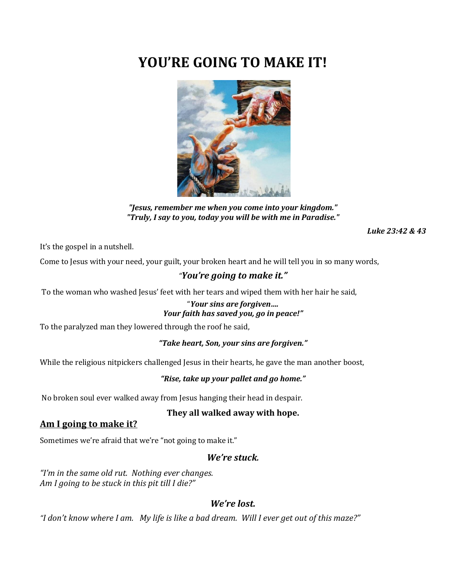# **YOU'RE GOING TO MAKE IT!**



*"Jesus, remember me when you come into your kingdom." "Truly, I say to you, today you will be with me in Paradise."*

*Luke 23:42 & 43*

It's the gospel in a nutshell.

Come to Jesus with your need, your guilt, your broken heart and he will tell you in so many words,

# *"You're going to make it."*

To the woman who washed Jesus' feet with her tears and wiped them with her hair he said,

# "*Your sins are forgiven…. Your faith has saved you, go in peace!"*

To the paralyzed man they lowered through the roof he said,

### *"Take heart, Son, your sins are forgiven."*

While the religious nitpickers challenged Jesus in their hearts, he gave the man another boost,

#### *"Rise, take up your pallet and go home."*

No broken soul ever walked away from Jesus hanging their head in despair.

#### **They all walked away with hope.**

### **Am I going to make it?**

Sometimes we're afraid that we're "not going to make it."

## *We're stuck.*

*"I'm in the same old rut. Nothing ever changes. Am I going to be stuck in this pit till I die?"* 

# *We're lost.*

*"I don't know where I am. My life is like a bad dream. Will I ever get out of this maze?"*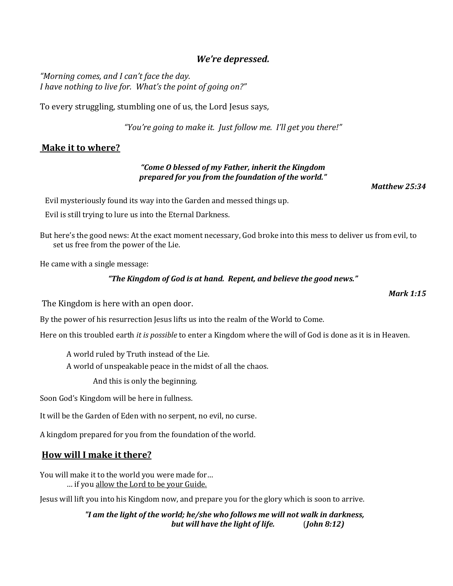# *We're depressed.*

*"Morning comes, and I can't face the day. I have nothing to live for. What's the point of going on?"*

To every struggling, stumbling one of us, the Lord Jesus says*,* 

*"You're going to make it. Just follow me. I'll get you there!"*

## **Make it to where?**

#### *"Come O blessed of my Father, inherit the Kingdom prepared for you from the foundation of the world."*

*Matthew 25:34*

Evil mysteriously found its way into the Garden and messed things up.

Evil is still trying to lure us into the Eternal Darkness.

But here's the good news: At the exact moment necessary, God broke into this mess to deliver us from evil, to set us free from the power of the Lie.

He came with a single message:

#### *"The Kingdom of God is at hand. Repent, and believe the good news."*

The Kingdom is here with an open door.

By the power of his resurrection Jesus lifts us into the realm of the World to Come.

Here on this troubled earth *it is possible* to enter a Kingdom where the will of God is done as it is in Heaven.

A world ruled by Truth instead of the Lie.

A world of unspeakable peace in the midst of all the chaos.

And this is only the beginning.

Soon God's Kingdom will be here in fullness.

It will be the Garden of Eden with no serpent, no evil, no curse.

A kingdom prepared for you from the foundation of the world.

### **How will I make it there?**

You will make it to the world you were made for… … if you allow the Lord to be your Guide.

Jesus will lift you into his Kingdom now, and prepare you for the glory which is soon to arrive.

*"I am the light of the world; he/she who follows me will not walk in darkness, but will have the light of life.* (*John 8:12)*

*Mark 1:15*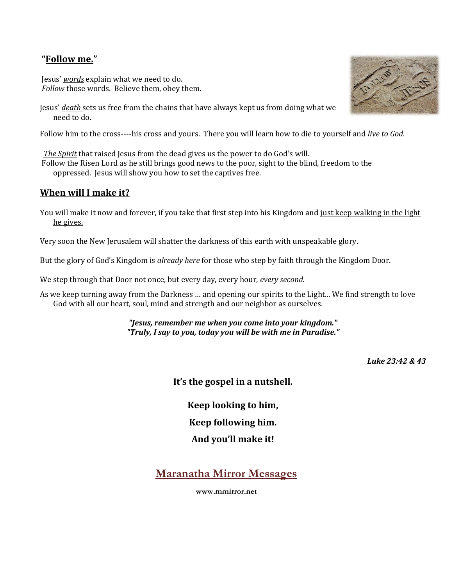# **"Follow me."**

Jesus' *words* explain what we need to do. *Follow* those words. Believe them, obey them.

Jesus' *death* sets us free from the chains that have always kept us from doing what we need to do.

Follow him to the cross----his cross and yours. There you will learn how to die to yourself and *live to God*.

*The Spirit* that raised Jesus from the dead gives us the power to do God's will.

Follow the Risen Lord as he still brings good news to the poor, sight to the blind, freedom to the oppressed. Jesus will show you how to set the captives free.

# **When will I make it?**

You will make it now and forever, if you take that first step into his Kingdom and just keep walking in the light he gives.

Very soon the New Jerusalem will shatter the darkness of this earth with unspeakable glory.

But the glory of God's Kingdom is *already here* for those who step by faith through the Kingdom Door.

We step through that Door not once, but every day, every hour, *every second.* 

As we keep turning away from the Darkness … and opening our spirits to the Light... We find strength to love God with all our heart, soul, mind and strength and our neighbor as ourselves.

> *"Jesus, remember me when you come into your kingdom." "Truly, I say to you, today you will be with me in Paradise."*

> > *Luke 23:42 & 43*

**It's the gospel in a nutshell.**

**Keep looking to him,**

**Keep following him.**

**And you'll make it!**

**Maranatha Mirror Messages**

**www.mmirror.net**